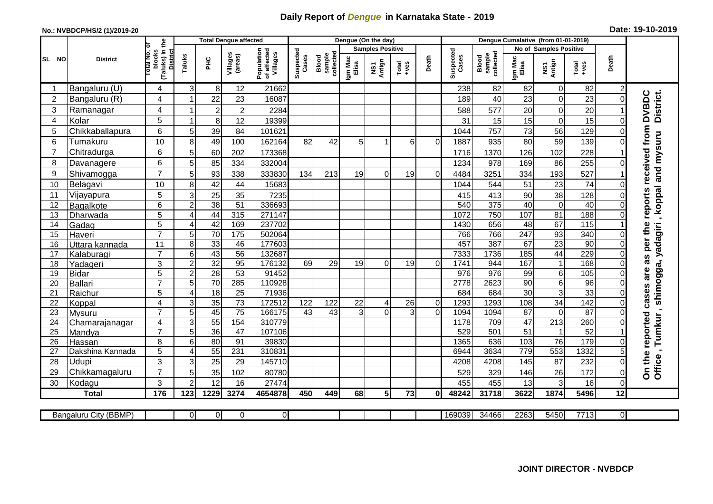## **Daily Report of** *Dengue* **in Karnataka State - 2019**

## **No.: NVBDCP/HS/2 (1)/2019-20 Date: 19-10-2019**

|                | <b>District</b>       |                                                             | <b>Total Dengue affected</b> |                  |                     |                                       | Dengue (On the day) |                              |                         |                |               |                |                    | Dengue Cumalative (from 01-01-2019) |                        |                 |                 |                              |                                  |  |
|----------------|-----------------------|-------------------------------------------------------------|------------------------------|------------------|---------------------|---------------------------------------|---------------------|------------------------------|-------------------------|----------------|---------------|----------------|--------------------|-------------------------------------|------------------------|-----------------|-----------------|------------------------------|----------------------------------|--|
|                |                       |                                                             |                              |                  |                     |                                       |                     |                              | <b>Samples Positive</b> |                |               |                |                    |                                     | No of Samples Positive |                 |                 |                              |                                  |  |
| SL NO          |                       | (Taluks) in the<br>otal No. or<br>blocks<br><b>District</b> | Taluks                       | ÈЯ               | Villages<br>(areas) | Population<br>of affected<br>Villages | Suspected<br>Cases  | sample<br>collected<br>Blood | Igm Mac<br>Elisa        | NS1<br>Antign  | Total<br>+ves | Death          | Suspected<br>Cases | sample<br>collected<br>Blood        | Igm Mac<br>Elisa       | NS1<br>Antign   | Total<br>+ves   | Death                        |                                  |  |
| -1             | Bangaluru (U)         | 4                                                           | 3                            | 8                | 12                  | 21662                                 |                     |                              |                         |                |               |                | 238                | 82                                  | 82                     | $\mathbf 0$     | 82              | $\overline{c}$               |                                  |  |
| $\overline{2}$ | Bangaluru (R)         | 4                                                           | -1                           | 22               | 23                  | 16087                                 |                     |                              |                         |                |               |                | 189                | 40                                  | 23                     | $\mathbf 0$     | 23              | $\mathbf 0$                  |                                  |  |
| 3              | Ramanagar             | 4                                                           | -1                           | $\boldsymbol{2}$ | $\overline{2}$      | 2284                                  |                     |                              |                         |                |               |                | 588                | 577                                 | 20                     | $\mathbf 0$     | 20              |                              | District.<br><b>DVBDC</b>        |  |
| 4              | Kolar                 | 5                                                           | -1                           | 8                | 12                  | 19399                                 |                     |                              |                         |                |               |                | 31                 | 15                                  | 15                     | $\mathbf 0$     | 15              | $\Omega$                     |                                  |  |
| 5              | Chikkaballapura       | 6                                                           | 5                            | 39               | 84                  | 101621                                |                     |                              |                         |                |               |                | 1044               | 757                                 | 73                     | 56              | 129             | $\Omega$                     | as per the reports received from |  |
| 6              | Tumakuru              | 10                                                          | 8                            | 49               | 100                 | 162164                                | 82                  | 42                           | 5 <sup>1</sup>          |                | 6             | $\Omega$       | 1887               | 935                                 | 80                     | 59              | 139             | $\Omega$                     | , koppal and mysuru              |  |
| $\overline{7}$ | Chitradurga           | 6                                                           | 5                            | 60               | 202                 | 173368                                |                     |                              |                         |                |               |                | 1716               | 1370                                | 126                    | 102             | 228             |                              |                                  |  |
| 8              | Davanagere            | 6                                                           | 5                            | 85               | 334                 | 332004                                |                     |                              |                         |                |               |                | 1234               | 978                                 | 169                    | 86              | 255             | $\Omega$                     |                                  |  |
| 9              | Shivamogga            | $\overline{7}$                                              | 5                            | 93               | 338                 | 333830                                | 134                 | 213                          | 19                      | $\Omega$       | 19            | $\Omega$       | 4484               | 3251                                | 334                    | 193             | 527             |                              |                                  |  |
| 10             | Belagavi              | 10                                                          | 8                            | 42               | 44                  | 15683                                 |                     |                              |                         |                |               |                | 1044               | 544                                 | 51                     | 23              | 74              | $\Omega$                     |                                  |  |
| 11             | Vijayapura            | 5                                                           | 3                            | 25               | 35                  | 7235                                  |                     |                              |                         |                |               |                | 415                | 413                                 | 90                     | 38              | 128             | $\Omega$                     |                                  |  |
| 12             | Bagalkote             | 6                                                           | $\overline{2}$               | 38               | $\overline{51}$     | 336693                                |                     |                              |                         |                |               |                | 540                | 375                                 | 40                     | $\overline{0}$  | 40              | $\Omega$                     |                                  |  |
| 13             | Dharwada              | 5                                                           | 4                            | 44               | 315                 | 271147                                |                     |                              |                         |                |               |                | 1072               | 750                                 | 107                    | 81              | 188             | $\Omega$                     |                                  |  |
| 14             | Gadag                 | $\overline{5}$                                              | 4                            | 42               | 169                 | 237702                                |                     |                              |                         |                |               |                | 1430               | 656                                 | 48                     | 67              | 115             |                              |                                  |  |
| 15             | Haveri                | $\overline{7}$                                              | 5                            | 70               | 175                 | 502064                                |                     |                              |                         |                |               |                | 766                | 766                                 | 247                    | 93              | 340             | $\Omega$                     |                                  |  |
| 16             | Uttara kannada        | 11                                                          | 8                            | 33               | 46                  | 177603                                |                     |                              |                         |                |               |                | 457                | 387                                 | 67                     | 23              | 90              | $\Omega$                     |                                  |  |
| 17             | Kalaburagi            | $\overline{7}$                                              | 6                            | 43               | $\overline{56}$     | 132687                                |                     |                              |                         |                |               |                | 7333               | 1736                                | 185                    | $\overline{44}$ | 229             | $\Omega$                     |                                  |  |
| 18             | Yadageri              | 3                                                           | $\overline{c}$               | 32               | 95                  | 176132                                | 69                  | 29                           | 19                      | $\Omega$       | 19            | $\Omega$       | 1741               | 944                                 | 167                    | $\mathbf{1}$    | 168             | $\Omega$                     |                                  |  |
| 19             | <b>Bidar</b>          | 5                                                           | $\overline{c}$               | $\overline{28}$  | 53                  | 91452                                 |                     |                              |                         |                |               |                | 976                | 976                                 | 99                     | 6               | 105             | $\Omega$                     | are                              |  |
| 20             | <b>Ballari</b>        | $\overline{7}$                                              | 5                            | 70               | 285                 | 110928                                |                     |                              |                         |                |               |                | 2778               | 2623                                | $\overline{90}$        | $\overline{6}$  | $\overline{96}$ | $\Omega$                     |                                  |  |
| 21             | Raichur               | $\overline{5}$                                              | 4                            | 18               | $\overline{25}$     | 71936                                 |                     |                              |                         |                |               |                | 684                | 684                                 | 30                     | $\overline{3}$  | 33              | $\Omega$                     | shimogga, yadagiri<br>cases      |  |
| 22             | Koppal                | $\overline{4}$                                              | 3                            | $\overline{35}$  | $\overline{73}$     | 172512                                | 122                 | 122                          | 22                      | 4              | 26            | $\overline{0}$ | 1293               | 1293                                | 108                    | 34              | 142             | $\mathbf 0$                  | $\blacksquare$                   |  |
| 23             | Mysuru                | $\overline{7}$                                              | 5                            | 45               | $\overline{75}$     | 166175                                | 43                  | 43                           | 3                       | $\Omega$       | 3             | $\Omega$       | 1094               | 1094                                | 87                     | $\mathbf 0$     | $\overline{87}$ | $\Omega$                     |                                  |  |
| 24             | Chamarajanagar        | 4                                                           | 3                            | 55               | 154                 | 310779                                |                     |                              |                         |                |               |                | 1178               | 709                                 | 47                     | 213             | 260             | $\Omega$                     |                                  |  |
| 25             | Mandya                | $\overline{7}$                                              | 5                            | 36               | 47                  | 107106                                |                     |                              |                         |                |               |                | 529                | 501                                 | $\overline{51}$        | $\mathbf{1}$    | $\overline{52}$ |                              | Tumkur                           |  |
| 26             | Hassan                | 8                                                           | 6                            | 80               | 91                  | 39830                                 |                     |                              |                         |                |               |                | 1365               | 636                                 | 103                    | $\overline{76}$ | 179             | $\Omega$                     |                                  |  |
| 27             | Dakshina Kannada      | 5                                                           | 4                            | 55               | 231                 | 310831                                |                     |                              |                         |                |               |                | 6944               | 3634                                | 779                    | 553             | 1332            | 5                            |                                  |  |
| 28             | Udupi                 | 3<br>$\overline{7}$                                         | 3                            | 25               | 29                  | 145710                                |                     |                              |                         |                |               |                | 4208               | 4208                                | 145                    | 87              | 232             | $\Omega$                     | On the reported<br>Office        |  |
| 29             | Chikkamagaluru        | 3                                                           | 5<br>$\overline{2}$          | 35<br>12         | 102<br>16           | 80780                                 |                     |                              |                         |                |               |                | 529<br>455         | 329<br>455                          | 146<br>13              | 26<br>3         | 172<br>16       | $\boldsymbol{0}$<br>$\Omega$ |                                  |  |
| 30             | Kodagu                |                                                             |                              |                  |                     | 27474                                 |                     |                              |                         |                |               |                |                    |                                     |                        |                 |                 |                              |                                  |  |
|                | <b>Total</b>          | 176                                                         | 123                          | 1229             | 3274                | 4654878                               | 450                 | 449                          | 68                      | 5 <sup>1</sup> | 73            | Οl             | 48242              | 31718                               | 3622                   | 1874            | 5496            | 12                           |                                  |  |
|                |                       |                                                             | $\Omega$                     |                  |                     |                                       |                     |                              |                         |                |               |                |                    |                                     |                        |                 | 7713            | $\overline{0}$               |                                  |  |
|                | Bangaluru City (BBMP) |                                                             |                              | $\overline{0}$   | $\overline{0}$      | ΟI                                    |                     |                              |                         |                |               |                | 169039             | 34466                               | 2263                   | 5450            |                 |                              |                                  |  |